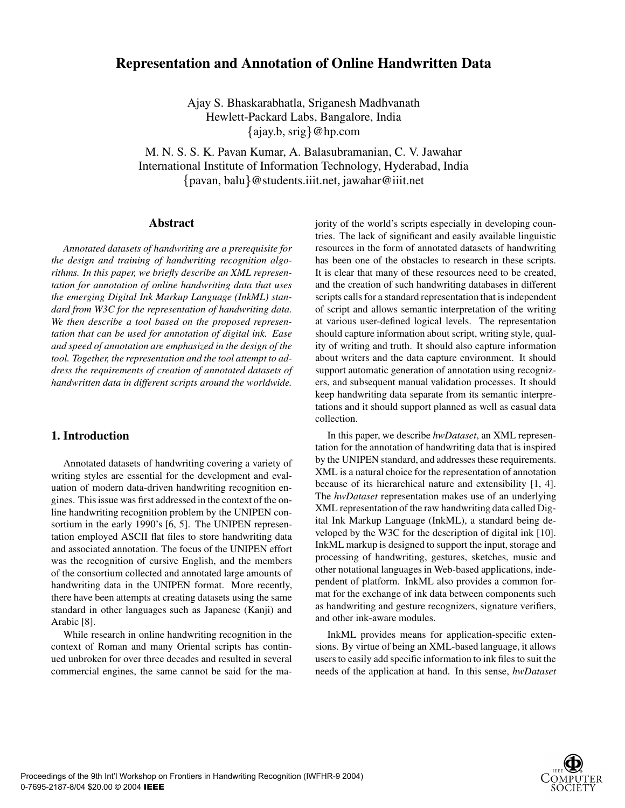# **Representation and Annotation of Online Handwritten Data**

Ajay S. Bhaskarabhatla, Sriganesh Madhvanath Hewlett-Packard Labs, Bangalore, India ajay.b, srig @hp.com

M. N. S. S. K. Pavan Kumar, A. Balasubramanian, C. V. Jawahar International Institute of Information Technology, Hyderabad, India  $\{p$ avan, balu $\}$ @students.iiit.net, jawahar@iiit.net

#### **Abstract**

*Annotated datasets of handwriting are a prerequisite for the design and training of handwriting recognition algorithms. In this paper, we briefly describe an XML representation for annotation of online handwriting data that uses the emerging Digital Ink Markup Language (InkML) standard from W3C for the representation of handwriting data. We then describe a tool based on the proposed representation that can be used for annotation of digital ink. Ease and speed of annotation are emphasized in the design of the tool. Together, the representation and the tool attempt to address the requirements of creation of annotated datasets of handwritten data in different scripts around the worldwide.*

## **1. Introduction**

Annotated datasets of handwriting covering a variety of writing styles are essential for the development and evaluation of modern data-driven handwriting recognition engines. This issue was first addressed in the context of the online handwriting recognition problem by the UNIPEN consortium in the early 1990's [6, 5]. The UNIPEN representation employed ASCII flat files to store handwriting data and associated annotation. The focus of the UNIPEN effort was the recognition of cursive English, and the members of the consortium collected and annotated large amounts of handwriting data in the UNIPEN format. More recently, there have been attempts at creating datasets using the same standard in other languages such as Japanese (Kanji) and Arabic [8].

While research in online handwriting recognition in the context of Roman and many Oriental scripts has continued unbroken for over three decades and resulted in several commercial engines, the same cannot be said for the majority of the world's scripts especially in developing countries. The lack of significant and easily available linguistic resources in the form of annotated datasets of handwriting has been one of the obstacles to research in these scripts. It is clear that many of these resources need to be created, and the creation of such handwriting databases in different scripts calls for a standard representation that is independent of script and allows semantic interpretation of the writing at various user-defined logical levels. The representation should capture information about script, writing style, quality of writing and truth. It should also capture information about writers and the data capture environment. It should support automatic generation of annotation using recognizers, and subsequent manual validation processes. It should keep handwriting data separate from its semantic interpretations and it should support planned as well as casual data collection.

In this paper, we describe *hwDataset*, an XML representation for the annotation of handwriting data that is inspired by the UNIPEN standard, and addresses these requirements. XML is a natural choice for the representation of annotation because of its hierarchical nature and extensibility [1, 4]. The *hwDataset* representation makes use of an underlying XML representation of the raw handwriting data called Digital Ink Markup Language (InkML), a standard being developed by the W3C for the description of digital ink [10]. InkML markup is designed to support the input, storage and processing of handwriting, gestures, sketches, music and other notational languages in Web-based applications, independent of platform. InkML also provides a common format for the exchange of ink data between components such as handwriting and gesture recognizers, signature verifiers, and other ink-aware modules.

InkML provides means for application-specific extensions. By virtue of being an XML-based language, it allows users to easily add specific information to ink files to suit the needs of the application at hand. In this sense, *hwDataset*

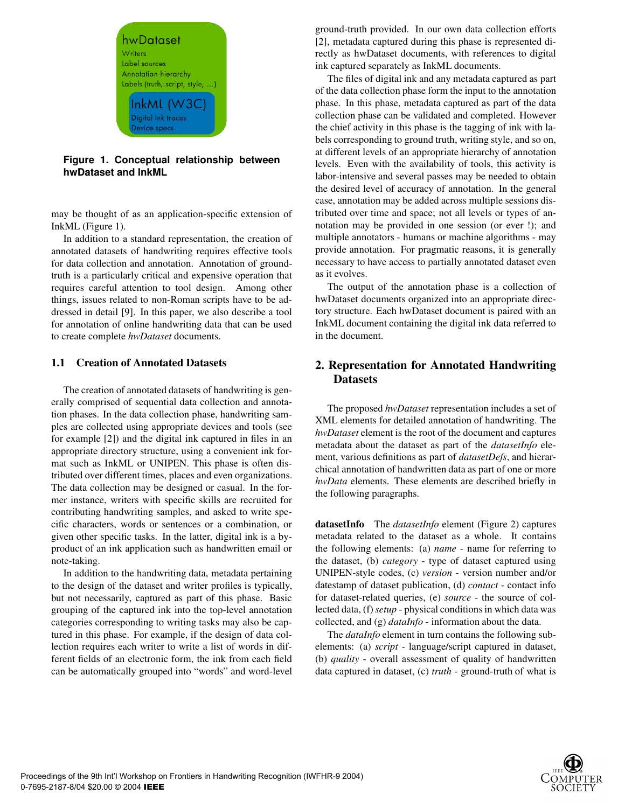

## **Figure 1. Conceptual relationship between hwDataset and InkML**

may be thought of as an application-specific extension of InkML (Figure 1).

In addition to a standard representation, the creation of annotated datasets of handwriting requires effective tools for data collection and annotation. Annotation of groundtruth is a particularly critical and expensive operation that requires careful attention to tool design. Among other things, issues related to non-Roman scripts have to be addressed in detail [9]. In this paper, we also describe a tool for annotation of online handwriting data that can be used to create complete *hwDataset* documents.

## **1.1 Creation of Annotated Datasets**

The creation of annotated datasets of handwriting is generally comprised of sequential data collection and annotation phases. In the data collection phase, handwriting samples are collected using appropriate devices and tools (see for example [2]) and the digital ink captured in files in an appropriate directory structure, using a convenient ink format such as InkML or UNIPEN. This phase is often distributed over different times, places and even organizations. The data collection may be designed or casual. In the former instance, writers with specific skills are recruited for contributing handwriting samples, and asked to write specific characters, words or sentences or a combination, or given other specific tasks. In the latter, digital ink is a byproduct of an ink application such as handwritten email or note-taking.

In addition to the handwriting data, metadata pertaining to the design of the dataset and writer profiles is typically, but not necessarily, captured as part of this phase. Basic grouping of the captured ink into the top-level annotation categories corresponding to writing tasks may also be captured in this phase. For example, if the design of data collection requires each writer to write a list of words in different fields of an electronic form, the ink from each field can be automatically grouped into "words" and word-level ground-truth provided. In our own data collection efforts [2], metadata captured during this phase is represented directly as hwDataset documents, with references to digital ink captured separately as InkML documents.

The files of digital ink and any metadata captured as part of the data collection phase form the input to the annotation phase. In this phase, metadata captured as part of the data collection phase can be validated and completed. However the chief activity in this phase is the tagging of ink with labels corresponding to ground truth, writing style, and so on, at different levels of an appropriate hierarchy of annotation levels. Even with the availability of tools, this activity is labor-intensive and several passes may be needed to obtain the desired level of accuracy of annotation. In the general case, annotation may be added across multiple sessions distributed over time and space; not all levels or types of annotation may be provided in one session (or ever !); and multiple annotators - humans or machine algorithms - may provide annotation. For pragmatic reasons, it is generally necessary to have access to partially annotated dataset even as it evolves.

The output of the annotation phase is a collection of hwDataset documents organized into an appropriate directory structure. Each hwDataset document is paired with an InkML document containing the digital ink data referred to in the document.

## **2. Representation for Annotated Handwriting Datasets**

The proposed *hwDataset* representation includes a set of XML elements for detailed annotation of handwriting. The *hwDataset* element is the root of the document and captures metadata about the dataset as part of the *datasetInfo* element, various definitions as part of *datasetDefs*, and hierarchical annotation of handwritten data as part of one or more *hwData* elements. These elements are described briefly in the following paragraphs.

**datasetInfo** The *datasetInfo* element (Figure 2) captures metadata related to the dataset as a whole. It contains the following elements: (a) *name* - name for referring to the dataset, (b) *category* - type of dataset captured using UNIPEN-style codes, (c) *version* - version number and/or datestamp of dataset publication, (d) *contact* - contact info for dataset-related queries, (e) *source* - the source of collected data, (f)*setup* - physical conditions in which data was collected, and (g) *dataInfo* - information about the data.

The *dataInfo* element in turn contains the following subelements: (a) *script* - language/script captured in dataset, (b) *quality* - overall assessment of quality of handwritten data captured in dataset, (c) *truth* - ground-truth of what is

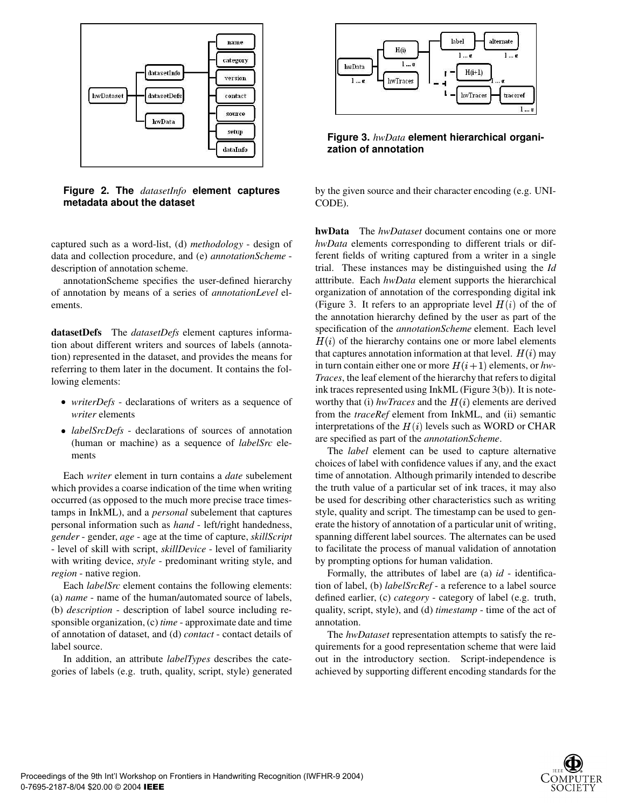

**Figure 2. The** *datasetInfo* **element captures metadata about the dataset**

captured such as a word-list, (d) *methodology* - design of data and collection procedure, and (e) *annotationScheme* description of annotation scheme.

annotationScheme specifies the user-defined hierarchy of annotation by means of a series of *annotationLevel* elements.

**datasetDefs** The *datasetDefs* element captures information about different writers and sources of labels (annotation) represented in the dataset, and provides the means for referring to them later in the document. It contains the following elements:

- writerDefs declarations of writers as a sequence of *writer* elements
- *labelSrcDefs* declarations of sources of annotation (human or machine) as a sequence of *labelSrc* elements

Each *writer* element in turn contains a *date* subelement which provides a coarse indication of the time when writing occurred (as opposed to the much more precise trace timestamps in InkML), and a *personal* subelement that captures personal information such as *hand* - left/right handedness, *gender* - gender, *age* - age at the time of capture, *skillScript* - level of skill with script, *skillDevice* - level of familiarity with writing device, *style* - predominant writing style, and *region* - native region.

Each *labelSrc* element contains the following elements: (a) *name* - name of the human/automated source of labels, (b) *description* - description of label source including responsible organization, (c) *time* - approximate date and time of annotation of dataset, and (d) *contact* - contact details of label source.

In addition, an attribute *labelTypes* describes the categories of labels (e.g. truth, quality, script, style) generated



**Figure 3.** *hwData* **element hierarchical organization of annotation**

by the given source and their character encoding (e.g. UNI-CODE).

**hwData** The *hwDataset* document contains one or more *hwData* elements corresponding to different trials or different fields of writing captured from a writer in a single trial. These instances may be distinguished using the *Id* atttribute. Each *hwData* element supports the hierarchical organization of annotation of the corresponding digital ink (Figure 3. It refers to an appropriate level  $H(i)$  of the of the annotation hierarchy defined by the user as part of the specification of the *annotationScheme* element. Each level  $H(i)$  of the hierarchy contains one or more label elements that captures annotation information at that level.  $H(i)$  may in turn contain either one or more  $H(i+1)$  elements, or *hw*-*Traces*, the leaf element of the hierarchy that refers to digital ink traces represented using InkML (Figure 3(b)). It is noteworthy that (i)  $hwrraces$  and the  $H(i)$  elements are derived from the *traceRef* element from InkML, and (ii) semantic interpretations of the  $H(i)$  levels such as WORD or CHAR are specified as part of the *annotationScheme*.

The *label* element can be used to capture alternative choices of label with confidence values if any, and the exact time of annotation. Although primarily intended to describe the truth value of a particular set of ink traces, it may also be used for describing other characteristics such as writing style, quality and script. The timestamp can be used to generate the history of annotation of a particular unit of writing, spanning different label sources. The alternates can be used to facilitate the process of manual validation of annotation by prompting options for human validation.

Formally, the attributes of label are (a) *id* - identification of label, (b) *labelSrcRef* - a reference to a label source defined earlier, (c) *category* - category of label (e.g. truth, quality, script, style), and (d) *timestamp* - time of the act of annotation.

The *hwDataset* representation attempts to satisfy the requirements for a good representation scheme that were laid out in the introductory section. Script-independence is achieved by supporting different encoding standards for the

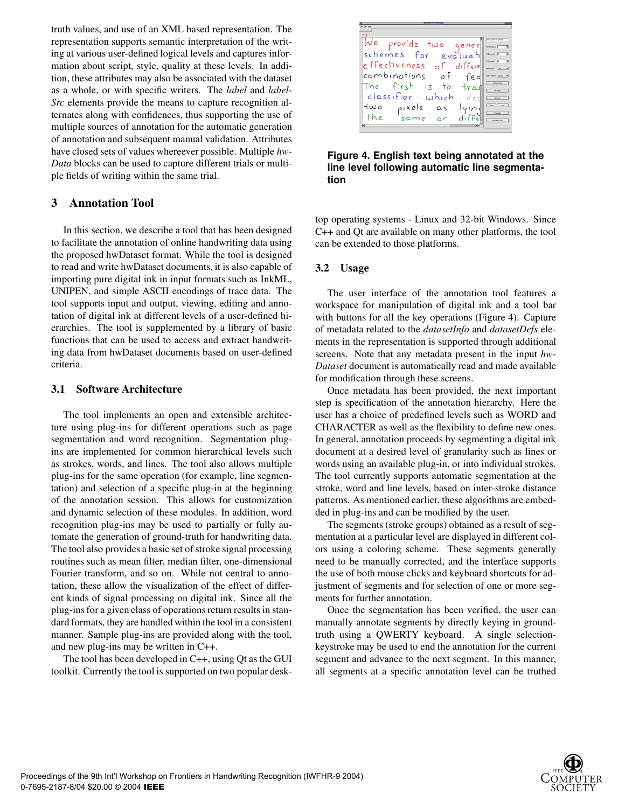truth values, and use of an XML based representation. The representation supports semantic interpretation of the writing at various user-defined logical levels and captures information about script, style, quality at these levels. In addition, these attributes may also be associated with the dataset as a whole, or with specific writers. The *label* and *label-Src* elements provide the means to capture recognition alternates along with confidences, thus supporting the use of multiple sources of annotation for the automatic generation of annotation and subsequent manual validation. Attributes have closed sets of values whereever possible. Multiple *hw-Data* blocks can be used to capture different trials or multiple fields of writing within the same trial.

## **3 Annotation Tool**

In this section, we describe a tool that has been designed to facilitate the annotation of online handwriting data using the proposed hwDataset format. While the tool is designed to read and write hwDataset documents, it is also capable of importing pure digital ink in input formats such as InkML, UNIPEN, and simple ASCII encodings of trace data. The tool supports input and output, viewing, editing and annotation of digital ink at different levels of a user-defined hierarchies. The tool is supplemented by a library of basic functions that can be used to access and extract handwriting data from hwDataset documents based on user-defined criteria.

#### **3.1 Software Architecture**

The tool implements an open and extensible architecture using plug-ins for different operations such as page segmentation and word recognition. Segmentation plugins are implemented for common hierarchical levels such as strokes, words, and lines. The tool also allows multiple plug-ins for the same operation (for example, line segmentation) and selection of a specific plug-in at the beginning of the annotation session. This allows for customization and dynamic selection of these modules. In addition, word recognition plug-ins may be used to partially or fully automate the generation of ground-truth for handwriting data. The tool also provides a basic set of stroke signal processing routines such as mean filter, median filter, one-dimensional Fourier transform, and so on. While not central to annotation, these allow the visualization of the effect of different kinds of signal processing on digital ink. Since all the plug-ins for a given class of operations return results in standard formats, they are handled within the tool in a consistent manner. Sample plug-ins are provided along with the tool, and new plug-ins may be written in C++.

The tool has been developed in C++, using Qt as the GUI toolkit. Currently the tool is supported on two popular desk-



**Figure 4. English text being annotated at the line level following automatic line segmentation**

top operating systems - Linux and 32-bit Windows. Since C++ and Qt are available on many other platforms, the tool can be extended to those platforms.

#### **3.2 Usage**

The user interface of the annotation tool features a workspace for manipulation of digital ink and a tool bar with buttons for all the key operations (Figure 4). Capture of metadata related to the *datasetInfo* and *datasetDefs* elements in the representation is supported through additional screens. Note that any metadata present in the input *hw-Dataset* document is automatically read and made available for modification through these screens.

Once metadata has been provided, the next important step is specification of the annotation hierarchy. Here the user has a choice of predefined levels such as WORD and CHARACTER as well as the flexibility to define new ones. In general, annotation proceeds by segmenting a digital ink document at a desired level of granularity such as lines or words using an available plug-in, or into individual strokes. The tool currently supports automatic segmentation at the stroke, word and line levels, based on inter-stroke distance patterns. As mentioned earlier, these algorithms are embedded in plug-ins and can be modified by the user.

The segments (stroke groups) obtained as a result of segmentation at a particular level are displayed in different colors using a coloring scheme. These segments generally need to be manually corrected, and the interface supports the use of both mouse clicks and keyboard shortcuts for adjustment of segments and for selection of one or more segments for further annotation.

Once the segmentation has been verified, the user can manually annotate segments by directly keying in groundtruth using a QWERTY keyboard. A single selectionkeystroke may be used to end the annotation for the current segment and advance to the next segment. In this manner, all segments at a specific annotation level can be truthed

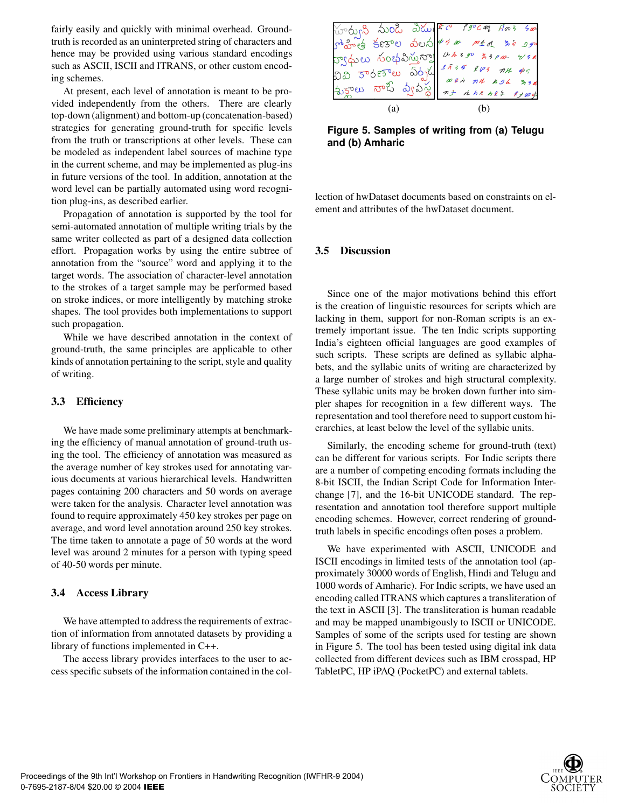fairly easily and quickly with minimal overhead. Groundtruth is recorded as an uninterpreted string of characters and hence may be provided using various standard encodings such as ASCII, ISCII and ITRANS, or other custom encoding schemes.

At present, each level of annotation is meant to be provided independently from the others. There are clearly top-down (alignment) and bottom-up (concatenation-based) strategies for generating ground-truth for specific levels from the truth or transcriptions at other levels. These can be modeled as independent label sources of machine type in the current scheme, and may be implemented as plug-ins in future versions of the tool. In addition, annotation at the word level can be partially automated using word recognition plug-ins, as described earlier.

Propagation of annotation is supported by the tool for semi-automated annotation of multiple writing trials by the same writer collected as part of a designed data collection effort. Propagation works by using the entire subtree of annotation from the "source" word and applying it to the target words. The association of character-level annotation to the strokes of a target sample may be performed based on stroke indices, or more intelligently by matching stroke shapes. The tool provides both implementations to support such propagation.

While we have described annotation in the context of ground-truth, the same principles are applicable to other kinds of annotation pertaining to the script, style and quality of writing.

#### **3.3 Efficiency**

We have made some preliminary attempts at benchmarking the efficiency of manual annotation of ground-truth using the tool. The efficiency of annotation was measured as the average number of key strokes used for annotating various documents at various hierarchical levels. Handwritten pages containing 200 characters and 50 words on average were taken for the analysis. Character level annotation was found to require approximately 450 key strokes per page on average, and word level annotation around 250 key strokes. The time taken to annotate a page of 50 words at the word level was around 2 minutes for a person with typing speed of 40-50 words per minute.

#### **3.4 Access Library**

We have attempted to address the requirements of extraction of information from annotated datasets by providing a library of functions implemented in C++.

The access library provides interfaces to the user to access specific subsets of the information contained in the col-



**Figure 5. Samples of writing from (a) Telugu and (b) Amharic**

lection of hwDataset documents based on constraints on element and attributes of the hwDataset document.

#### **3.5 Discussion**

Since one of the major motivations behind this effort is the creation of linguistic resources for scripts which are lacking in them, support for non-Roman scripts is an extremely important issue. The ten Indic scripts supporting India's eighteen official languages are good examples of such scripts. These scripts are defined as syllabic alphabets, and the syllabic units of writing are characterized by a large number of strokes and high structural complexity. These syllabic units may be broken down further into simpler shapes for recognition in a few different ways. The representation and tool therefore need to support custom hierarchies, at least below the level of the syllabic units.

Similarly, the encoding scheme for ground-truth (text) can be different for various scripts. For Indic scripts there are a number of competing encoding formats including the 8-bit ISCII, the Indian Script Code for Information Interchange [7], and the 16-bit UNICODE standard. The representation and annotation tool therefore support multiple encoding schemes. However, correct rendering of groundtruth labels in specific encodings often poses a problem.

We have experimented with ASCII, UNICODE and ISCII encodings in limited tests of the annotation tool (approximately 30000 words of English, Hindi and Telugu and 1000 words of Amharic). For Indic scripts, we have used an encoding called ITRANS which captures a transliteration of the text in ASCII [3]. The transliteration is human readable and may be mapped unambigously to ISCII or UNICODE. Samples of some of the scripts used for testing are shown in Figure 5. The tool has been tested using digital ink data collected from different devices such as IBM crosspad, HP TabletPC, HP iPAQ (PocketPC) and external tablets.